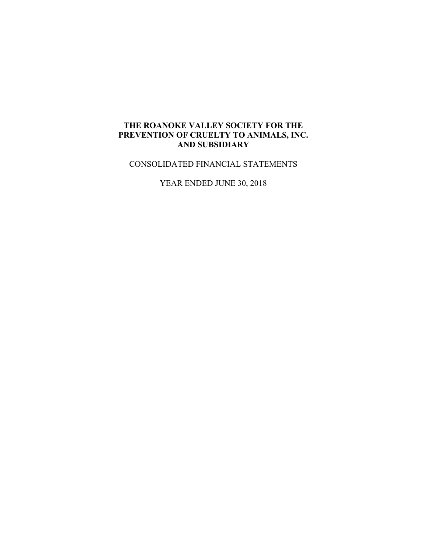CONSOLIDATED FINANCIAL STATEMENTS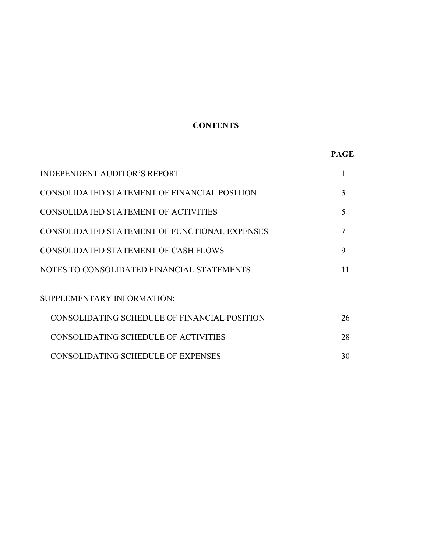# **CONTENTS**

**PAGE** 

| <b>INDEPENDENT AUDITOR'S REPORT</b>           |    |
|-----------------------------------------------|----|
| CONSOLIDATED STATEMENT OF FINANCIAL POSITION  | 3  |
| CONSOLIDATED STATEMENT OF ACTIVITIES          | 5  |
| CONSOLIDATED STATEMENT OF FUNCTIONAL EXPENSES |    |
| CONSOLIDATED STATEMENT OF CASH FLOWS          | 9  |
| NOTES TO CONSOLIDATED FINANCIAL STATEMENTS    | 11 |
| <b>SUPPLEMENTARY INFORMATION:</b>             |    |
| CONSOLIDATING SCHEDULE OF FINANCIAL POSITION  | 26 |
| CONSOLIDATING SCHEDULE OF ACTIVITIES          | 28 |
| <b>CONSOLIDATING SCHEDULE OF EXPENSES</b>     | 30 |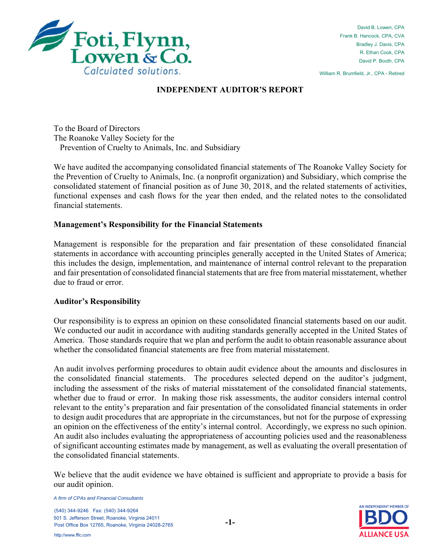

William R. Brumfield, Jr., CPA - Retired

# **INDEPENDENT AUDITOR'S REPORT**

To the Board of Directors The Roanoke Valley Society for the Prevention of Cruelty to Animals, Inc. and Subsidiary

We have audited the accompanying consolidated financial statements of The Roanoke Valley Society for the Prevention of Cruelty to Animals, Inc. (a nonprofit organization) and Subsidiary, which comprise the consolidated statement of financial position as of June 30, 2018, and the related statements of activities, functional expenses and cash flows for the year then ended, and the related notes to the consolidated financial statements.

### **Management's Responsibility for the Financial Statements**

Management is responsible for the preparation and fair presentation of these consolidated financial statements in accordance with accounting principles generally accepted in the United States of America; this includes the design, implementation, and maintenance of internal control relevant to the preparation and fair presentation of consolidated financial statements that are free from material misstatement, whether due to fraud or error.

#### **Auditor's Responsibility**

Our responsibility is to express an opinion on these consolidated financial statements based on our audit. We conducted our audit in accordance with auditing standards generally accepted in the United States of America. Those standards require that we plan and perform the audit to obtain reasonable assurance about whether the consolidated financial statements are free from material misstatement.

An audit involves performing procedures to obtain audit evidence about the amounts and disclosures in the consolidated financial statements. The procedures selected depend on the auditor's judgment, including the assessment of the risks of material misstatement of the consolidated financial statements, whether due to fraud or error. In making those risk assessments, the auditor considers internal control relevant to the entity's preparation and fair presentation of the consolidated financial statements in order to design audit procedures that are appropriate in the circumstances, but not for the purpose of expressing an opinion on the effectiveness of the entity's internal control. Accordingly, we express no such opinion. An audit also includes evaluating the appropriateness of accounting policies used and the reasonableness of significant accounting estimates made by management, as well as evaluating the overall presentation of the consolidated financial statements.

We believe that the audit evidence we have obtained is sufficient and appropriate to provide a basis for our audit opinion.

*A firm of CPAs and Financial Consultants*

(540) 344-9246 Fax: (540) 344-9264 501 S. Jefferson Street, Roanoke, Virginia 24011 Post Office Box 12765, Roanoke, Virginia 24028-2765



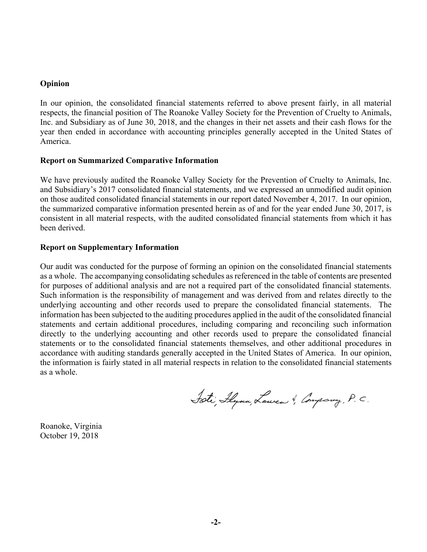### **Opinion**

In our opinion, the consolidated financial statements referred to above present fairly, in all material respects, the financial position of The Roanoke Valley Society for the Prevention of Cruelty to Animals, Inc. and Subsidiary as of June 30, 2018, and the changes in their net assets and their cash flows for the year then ended in accordance with accounting principles generally accepted in the United States of America.

#### **Report on Summarized Comparative Information**

We have previously audited the Roanoke Valley Society for the Prevention of Cruelty to Animals, Inc. and Subsidiary's 2017 consolidated financial statements, and we expressed an unmodified audit opinion on those audited consolidated financial statements in our report dated November 4, 2017. In our opinion, the summarized comparative information presented herein as of and for the year ended June 30, 2017, is consistent in all material respects, with the audited consolidated financial statements from which it has been derived.

#### **Report on Supplementary Information**

Our audit was conducted for the purpose of forming an opinion on the consolidated financial statements as a whole. The accompanying consolidating schedules as referenced in the table of contents are presented for purposes of additional analysis and are not a required part of the consolidated financial statements. Such information is the responsibility of management and was derived from and relates directly to the underlying accounting and other records used to prepare the consolidated financial statements. The information has been subjected to the auditing procedures applied in the audit of the consolidated financial statements and certain additional procedures, including comparing and reconciling such information directly to the underlying accounting and other records used to prepare the consolidated financial statements or to the consolidated financial statements themselves, and other additional procedures in accordance with auditing standards generally accepted in the United States of America. In our opinion, the information is fairly stated in all material respects in relation to the consolidated financial statements as a whole.

Soti, Ilyna, Louren & Company, P.C.

Roanoke, Virginia October 19, 2018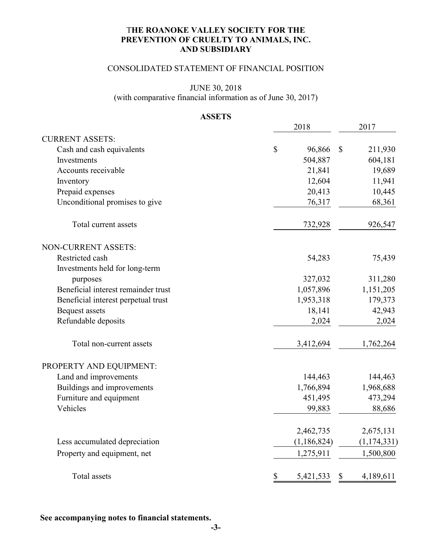#### CONSOLIDATED STATEMENT OF FINANCIAL POSITION

# JUNE 30, 2018

(with comparative financial information as of June 30, 2017)

| <b>ASSETS</b>                       |                 |                         |
|-------------------------------------|-----------------|-------------------------|
|                                     | 2018            | 2017                    |
| <b>CURRENT ASSETS:</b>              |                 |                         |
| Cash and cash equivalents           | \$<br>96,866    | $\mathbb{S}$<br>211,930 |
| Investments                         | 504,887         | 604,181                 |
| Accounts receivable                 | 21,841          | 19,689                  |
| Inventory                           | 12,604          | 11,941                  |
| Prepaid expenses                    | 20,413          | 10,445                  |
| Unconditional promises to give      | 76,317          | 68,361                  |
| Total current assets                | 732,928         | 926,547                 |
| <b>NON-CURRENT ASSETS:</b>          |                 |                         |
| Restricted cash                     | 54,283          | 75,439                  |
| Investments held for long-term      |                 |                         |
| purposes                            | 327,032         | 311,280                 |
| Beneficial interest remainder trust | 1,057,896       | 1,151,205               |
| Beneficial interest perpetual trust | 1,953,318       | 179,373                 |
| <b>Bequest assets</b>               | 18,141          | 42,943                  |
| Refundable deposits                 | 2,024           | 2,024                   |
| Total non-current assets            | 3,412,694       | 1,762,264               |
| PROPERTY AND EQUIPMENT:             |                 |                         |
| Land and improvements               | 144,463         | 144,463                 |
| Buildings and improvements          | 1,766,894       | 1,968,688               |
| Furniture and equipment             | 451,495         | 473,294                 |
| Vehicles                            | 99,883          | 88,686                  |
|                                     | 2,462,735       | 2,675,131               |
| Less accumulated depreciation       | (1, 186, 824)   | (1, 174, 331)           |
| Property and equipment, net         | 1,275,911       | 1,500,800               |
| Total assets                        | 5,421,533<br>\$ | 4,189,611<br>\$         |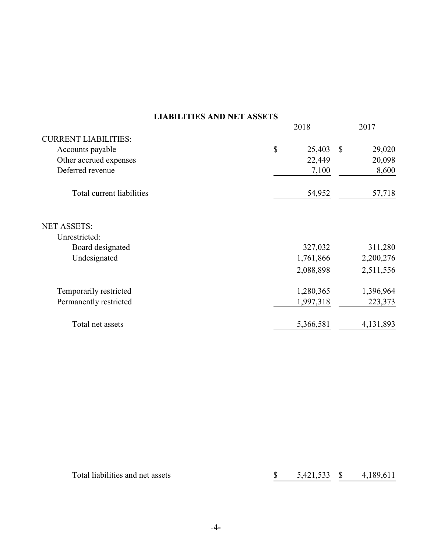| <b>LIABILITIES AND NET ASSETS</b>   |           |                                   |
|-------------------------------------|-----------|-----------------------------------|
|                                     | 2018      | 2017                              |
| <b>CURRENT LIABILITIES:</b>         |           |                                   |
| Accounts payable                    | \$        | 25,403<br>29,020<br><sup>\$</sup> |
| Other accrued expenses              |           | 22,449<br>20,098                  |
| Deferred revenue                    |           | 7,100<br>8,600                    |
| Total current liabilities           |           | 54,952<br>57,718                  |
| <b>NET ASSETS:</b><br>Unrestricted: |           |                                   |
| Board designated                    |           | 311,280<br>327,032                |
| Undesignated                        | 1,761,866 | 2,200,276                         |
|                                     | 2,088,898 | 2,511,556                         |
| Temporarily restricted              | 1,280,365 | 1,396,964                         |
| Permanently restricted              | 1,997,318 | 223,373                           |
| Total net assets                    | 5,366,581 | 4,131,893                         |

| Total liabilities and net assets | 5,421,533 \$ | 4,189,611 |
|----------------------------------|--------------|-----------|
|                                  |              |           |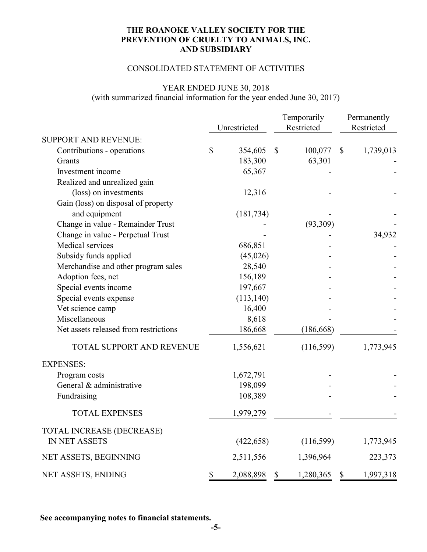#### CONSOLIDATED STATEMENT OF ACTIVITIES

### YEAR ENDED JUNE 30, 2018

(with summarized financial information for the year ended June 30, 2017)

|                                       |    | Unrestricted | Temporarily<br>Restricted |            |              | Permanently<br>Restricted |  |
|---------------------------------------|----|--------------|---------------------------|------------|--------------|---------------------------|--|
| <b>SUPPORT AND REVENUE:</b>           |    |              |                           |            |              |                           |  |
| Contributions - operations            | \$ | 354,605      | $\mathbb{S}$              | 100,077    | $\mathbb{S}$ | 1,739,013                 |  |
| Grants                                |    | 183,300      |                           | 63,301     |              |                           |  |
| Investment income                     |    | 65,367       |                           |            |              |                           |  |
| Realized and unrealized gain          |    |              |                           |            |              |                           |  |
| (loss) on investments                 |    | 12,316       |                           |            |              |                           |  |
| Gain (loss) on disposal of property   |    |              |                           |            |              |                           |  |
| and equipment                         |    | (181, 734)   |                           |            |              |                           |  |
| Change in value - Remainder Trust     |    |              |                           | (93,309)   |              |                           |  |
| Change in value - Perpetual Trust     |    |              |                           |            |              | 34,932                    |  |
| Medical services                      |    | 686,851      |                           |            |              |                           |  |
| Subsidy funds applied                 |    | (45,026)     |                           |            |              |                           |  |
| Merchandise and other program sales   |    | 28,540       |                           |            |              |                           |  |
| Adoption fees, net                    |    | 156,189      |                           |            |              |                           |  |
| Special events income                 |    | 197,667      |                           |            |              |                           |  |
| Special events expense                |    | (113, 140)   |                           |            |              |                           |  |
| Vet science camp                      |    | 16,400       |                           |            |              |                           |  |
| Miscellaneous                         |    | 8,618        |                           |            |              |                           |  |
| Net assets released from restrictions |    | 186,668      |                           | (186, 668) |              |                           |  |
| TOTAL SUPPORT AND REVENUE             |    | 1,556,621    |                           | (116, 599) |              | 1,773,945                 |  |
| <b>EXPENSES:</b>                      |    |              |                           |            |              |                           |  |
| Program costs                         |    | 1,672,791    |                           |            |              |                           |  |
| General & administrative              |    | 198,099      |                           |            |              |                           |  |
| Fundraising                           |    | 108,389      |                           |            |              |                           |  |
| <b>TOTAL EXPENSES</b>                 |    | 1,979,279    |                           |            |              |                           |  |
| TOTAL INCREASE (DECREASE)             |    |              |                           |            |              |                           |  |
| IN NET ASSETS                         |    | (422, 658)   |                           | (116,599)  |              | 1,773,945                 |  |
| NET ASSETS, BEGINNING                 |    | 2,511,556    |                           | 1,396,964  |              | 223,373                   |  |
| NET ASSETS, ENDING                    | \$ | 2,088,898    | \$                        | 1,280,365  | \$           | 1,997,318                 |  |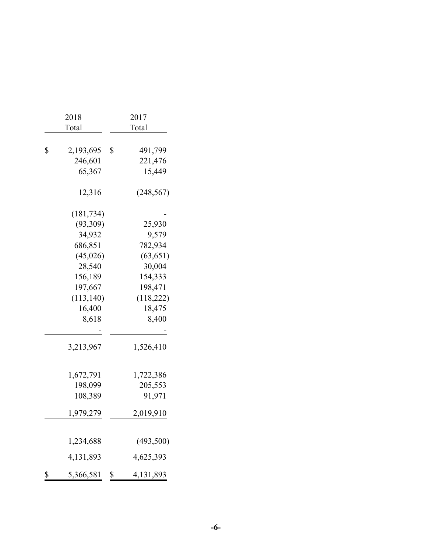| 2018            | 2017 |            |  |
|-----------------|------|------------|--|
| Total           |      | Total      |  |
|                 |      |            |  |
| \$<br>2,193,695 | \$   | 491,799    |  |
| 246,601         |      | 221,476    |  |
| 65,367          |      | 15,449     |  |
| 12,316          |      | (248, 567) |  |
| (181, 734)      |      |            |  |
| (93,309)        |      | 25,930     |  |
| 34,932          |      | 9,579      |  |
| 686,851         |      | 782,934    |  |
| (45, 026)       |      | (63, 651)  |  |
| 28,540          |      | 30,004     |  |
| 156,189         |      | 154,333    |  |
| 197,667         |      | 198,471    |  |
| (113, 140)      |      | (118,222)  |  |
| 16,400          |      | 18,475     |  |
| 8,618           |      | 8,400      |  |
|                 |      |            |  |
| 3,213,967       |      | 1,526,410  |  |
| 1,672,791       |      | 1,722,386  |  |
| 198,099         |      | 205,553    |  |
| 108,389         |      | 91,971     |  |
| 1,979,279       |      | 2,019,910  |  |
|                 |      |            |  |
| 1,234,688       |      | (493,500)  |  |
| 4, 131, 893     |      | 4,625,393  |  |
| \$<br>5,366,581 | \$   | 4,131,893  |  |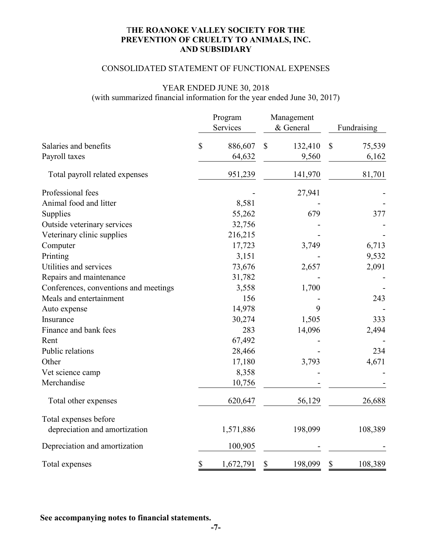#### CONSOLIDATED STATEMENT OF FUNCTIONAL EXPENSES

# YEAR ENDED JUNE 30, 2018

(with summarized financial information for the year ended June 30, 2017)

|                                       | Program         | Management    |                        |  |  |
|---------------------------------------|-----------------|---------------|------------------------|--|--|
|                                       | Services        | & General     | Fundraising            |  |  |
| Salaries and benefits                 | \$<br>886,607   | \$<br>132,410 | $\mathbb{S}$<br>75,539 |  |  |
| Payroll taxes                         | 64,632          | 9,560         | 6,162                  |  |  |
| Total payroll related expenses        | 951,239         | 141,970       | 81,701                 |  |  |
| Professional fees                     |                 | 27,941        |                        |  |  |
| Animal food and litter                | 8,581           |               |                        |  |  |
| Supplies                              | 55,262          | 679           | 377                    |  |  |
| Outside veterinary services           | 32,756          |               |                        |  |  |
| Veterinary clinic supplies            | 216,215         |               |                        |  |  |
| Computer                              | 17,723          | 3,749         | 6,713                  |  |  |
| Printing                              | 3,151           |               | 9,532                  |  |  |
| Utilities and services                | 73,676          | 2,657         | 2,091                  |  |  |
| Repairs and maintenance               | 31,782          |               |                        |  |  |
| Conferences, conventions and meetings | 3,558           | 1,700         |                        |  |  |
| Meals and entertainment               | 156             |               | 243                    |  |  |
| Auto expense                          | 14,978          | 9             |                        |  |  |
| Insurance                             | 30,274          | 1,505         | 333                    |  |  |
| Finance and bank fees                 | 283             | 14,096        | 2,494                  |  |  |
| Rent                                  | 67,492          |               |                        |  |  |
| Public relations                      | 28,466          |               | 234                    |  |  |
| Other                                 | 17,180          | 3,793         | 4,671                  |  |  |
| Vet science camp                      | 8,358           |               |                        |  |  |
| Merchandise                           | 10,756          |               |                        |  |  |
| Total other expenses                  | 620,647         | 56,129        | 26,688                 |  |  |
| Total expenses before                 |                 |               |                        |  |  |
| depreciation and amortization         | 1,571,886       | 198,099       | 108,389                |  |  |
| Depreciation and amortization         | 100,905         |               |                        |  |  |
| Total expenses                        | \$<br>1,672,791 | 198,099<br>\$ | \$<br>108,389          |  |  |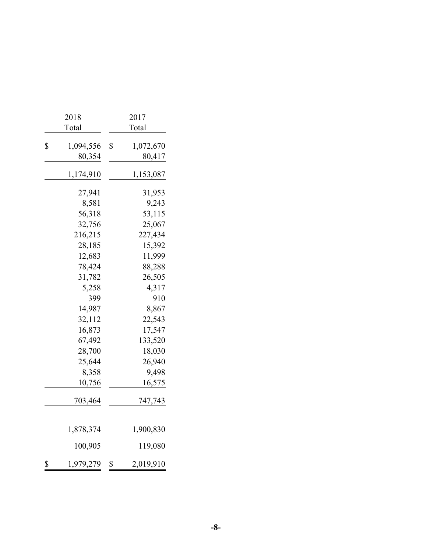| 2018                      | 2017                      |
|---------------------------|---------------------------|
| Total                     | Total                     |
| \$<br>1,094,556<br>80,354 | \$<br>1,072,670<br>80,417 |
| 1,174,910                 | 1,153,087                 |
| 27,941                    | 31,953                    |
| 8,581                     | 9,243                     |
| 56,318                    | 53,115                    |
| 32,756                    | 25,067                    |
| 216,215                   | 227,434                   |
| 28,185                    | 15,392                    |
| 12,683                    | 11,999                    |
| 78,424                    | 88,288                    |
| 31,782                    | 26,505                    |
| 5,258                     | 4,317                     |
| 399                       | 910                       |
| 14,987                    | 8,867                     |
| 32,112                    | 22,543                    |
| 16,873                    | 17,547                    |
| 67,492                    | 133,520                   |
| 28,700                    | 18,030                    |
| 25,644                    | 26,940                    |
| 8,358                     | 9,498                     |
| 10,756                    | 16,575                    |
| 703,464                   | 747,743                   |
| 1,878,374                 | 1,900,830                 |
| 100,905                   | 119,080                   |
| \$<br>1,979,279           | \$<br>2,019,910           |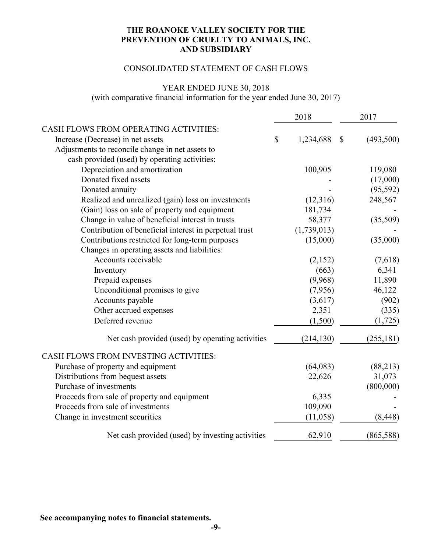#### CONSOLIDATED STATEMENT OF CASH FLOWS

# YEAR ENDED JUNE 30, 2018

(with comparative financial information for the year ended June 30, 2017)

|                                                        | 2018            |              | 2017       |
|--------------------------------------------------------|-----------------|--------------|------------|
| CASH FLOWS FROM OPERATING ACTIVITIES:                  |                 |              |            |
| Increase (Decrease) in net assets                      | \$<br>1,234,688 | $\mathbb{S}$ | (493,500)  |
| Adjustments to reconcile change in net assets to       |                 |              |            |
| cash provided (used) by operating activities:          |                 |              |            |
| Depreciation and amortization                          | 100,905         |              | 119,080    |
| Donated fixed assets                                   |                 |              | (17,000)   |
| Donated annuity                                        |                 |              | (95, 592)  |
| Realized and unrealized (gain) loss on investments     | (12,316)        |              | 248,567    |
| (Gain) loss on sale of property and equipment          | 181,734         |              |            |
| Change in value of beneficial interest in trusts       | 58,377          |              | (35,509)   |
| Contribution of beneficial interest in perpetual trust | (1,739,013)     |              |            |
| Contributions restricted for long-term purposes        | (15,000)        |              | (35,000)   |
| Changes in operating assets and liabilities:           |                 |              |            |
| Accounts receivable                                    | (2,152)         |              | (7,618)    |
| Inventory                                              | (663)           |              | 6,341      |
| Prepaid expenses                                       | (9,968)         |              | 11,890     |
| Unconditional promises to give                         | (7,956)         |              | 46,122     |
| Accounts payable                                       | (3,617)         |              | (902)      |
| Other accrued expenses                                 | 2,351           |              | (335)      |
| Deferred revenue                                       | (1,500)         |              | (1, 725)   |
| Net cash provided (used) by operating activities       | (214, 130)      |              | (255, 181) |
| CASH FLOWS FROM INVESTING ACTIVITIES:                  |                 |              |            |
| Purchase of property and equipment                     | (64,083)        |              | (88,213)   |
| Distributions from bequest assets                      | 22,626          |              | 31,073     |
| Purchase of investments                                |                 |              | (800,000)  |
| Proceeds from sale of property and equipment           | 6,335           |              |            |
| Proceeds from sale of investments                      | 109,090         |              |            |
| Change in investment securities                        | (11,058)        |              | (8, 448)   |
| Net cash provided (used) by investing activities       | 62,910          |              | (865,588)  |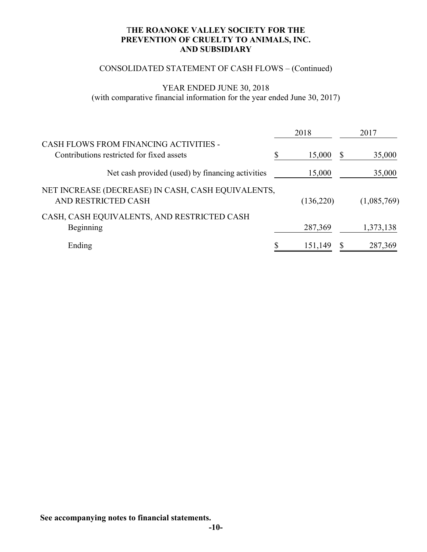# CONSOLIDATED STATEMENT OF CASH FLOWS – (Continued)

# YEAR ENDED JUNE 30, 2018

(with comparative financial information for the year ended June 30, 2017)

|                                                                                     |  | 2018      | 2017        |
|-------------------------------------------------------------------------------------|--|-----------|-------------|
| CASH FLOWS FROM FINANCING ACTIVITIES -<br>Contributions restricted for fixed assets |  | 15,000    | 35,000      |
| Net cash provided (used) by financing activities                                    |  | 15,000    | 35,000      |
| NET INCREASE (DECREASE) IN CASH, CASH EQUIVALENTS,<br>AND RESTRICTED CASH           |  | (136,220) | (1,085,769) |
| CASH, CASH EQUIVALENTS, AND RESTRICTED CASH<br>Beginning                            |  | 287,369   | 1,373,138   |
| Ending                                                                              |  | 151,149   | 287,369     |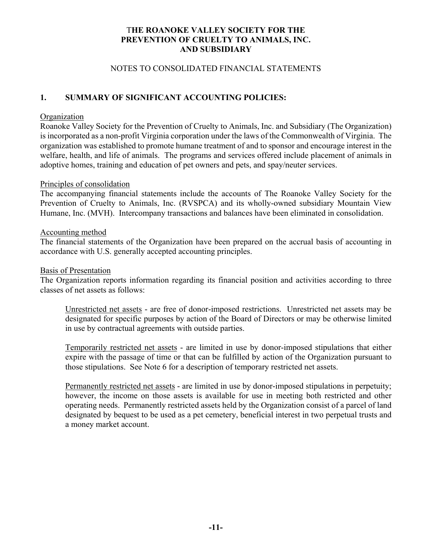# NOTES TO CONSOLIDATED FINANCIAL STATEMENTS

# **1. SUMMARY OF SIGNIFICANT ACCOUNTING POLICIES:**

### **Organization**

Roanoke Valley Society for the Prevention of Cruelty to Animals, Inc. and Subsidiary (The Organization) is incorporated as a non-profit Virginia corporation under the laws of the Commonwealth of Virginia. The organization was established to promote humane treatment of and to sponsor and encourage interest in the welfare, health, and life of animals. The programs and services offered include placement of animals in adoptive homes, training and education of pet owners and pets, and spay/neuter services.

#### Principles of consolidation

The accompanying financial statements include the accounts of The Roanoke Valley Society for the Prevention of Cruelty to Animals, Inc. (RVSPCA) and its wholly-owned subsidiary Mountain View Humane, Inc. (MVH). Intercompany transactions and balances have been eliminated in consolidation.

#### Accounting method

The financial statements of the Organization have been prepared on the accrual basis of accounting in accordance with U.S. generally accepted accounting principles.

#### Basis of Presentation

The Organization reports information regarding its financial position and activities according to three classes of net assets as follows:

 Unrestricted net assets - are free of donor-imposed restrictions. Unrestricted net assets may be designated for specific purposes by action of the Board of Directors or may be otherwise limited in use by contractual agreements with outside parties.

 Temporarily restricted net assets - are limited in use by donor-imposed stipulations that either expire with the passage of time or that can be fulfilled by action of the Organization pursuant to those stipulations. See Note 6 for a description of temporary restricted net assets.

 Permanently restricted net assets - are limited in use by donor-imposed stipulations in perpetuity; however, the income on those assets is available for use in meeting both restricted and other operating needs. Permanently restricted assets held by the Organization consist of a parcel of land designated by bequest to be used as a pet cemetery, beneficial interest in two perpetual trusts and a money market account.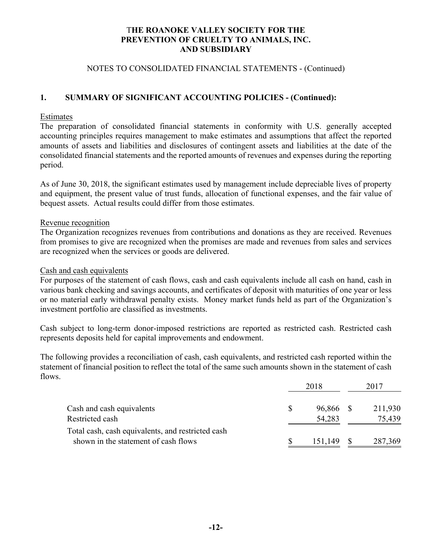# NOTES TO CONSOLIDATED FINANCIAL STATEMENTS - (Continued)

# **1. SUMMARY OF SIGNIFICANT ACCOUNTING POLICIES - (Continued):**

#### Estimates

The preparation of consolidated financial statements in conformity with U.S. generally accepted accounting principles requires management to make estimates and assumptions that affect the reported amounts of assets and liabilities and disclosures of contingent assets and liabilities at the date of the consolidated financial statements and the reported amounts of revenues and expenses during the reporting period.

As of June 30, 2018, the significant estimates used by management include depreciable lives of property and equipment, the present value of trust funds, allocation of functional expenses, and the fair value of bequest assets. Actual results could differ from those estimates.

#### Revenue recognition

The Organization recognizes revenues from contributions and donations as they are received. Revenues from promises to give are recognized when the promises are made and revenues from sales and services are recognized when the services or goods are delivered.

#### Cash and cash equivalents

For purposes of the statement of cash flows, cash and cash equivalents include all cash on hand, cash in various bank checking and savings accounts, and certificates of deposit with maturities of one year or less or no material early withdrawal penalty exists. Money market funds held as part of the Organization's investment portfolio are classified as investments.

Cash subject to long-term donor-imposed restrictions are reported as restricted cash. Restricted cash represents deposits held for capital improvements and endowment.

The following provides a reconciliation of cash, cash equivalents, and restricted cash reported within the statement of financial position to reflect the total of the same such amounts shown in the statement of cash flows.

|                                                   |  | 2017      |  |         |
|---------------------------------------------------|--|-----------|--|---------|
| Cash and cash equivalents                         |  | 96,866 \$ |  | 211,930 |
| Restricted cash                                   |  | 54,283    |  | 75,439  |
| Total cash, cash equivalents, and restricted cash |  |           |  |         |
| shown in the statement of cash flows              |  | 151,149   |  | 287,369 |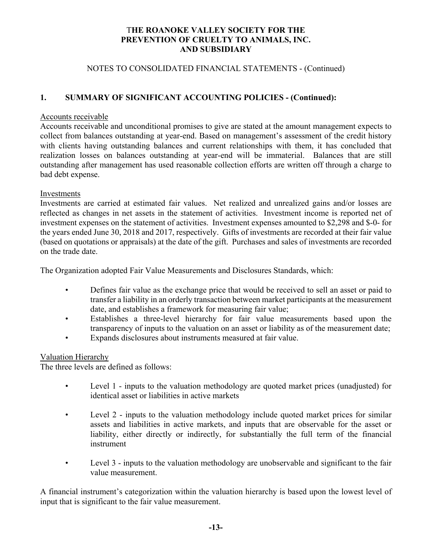# NOTES TO CONSOLIDATED FINANCIAL STATEMENTS - (Continued)

# **1. SUMMARY OF SIGNIFICANT ACCOUNTING POLICIES - (Continued):**

#### Accounts receivable

Accounts receivable and unconditional promises to give are stated at the amount management expects to collect from balances outstanding at year-end. Based on management's assessment of the credit history with clients having outstanding balances and current relationships with them, it has concluded that realization losses on balances outstanding at year-end will be immaterial. Balances that are still outstanding after management has used reasonable collection efforts are written off through a charge to bad debt expense.

#### Investments

Investments are carried at estimated fair values. Net realized and unrealized gains and/or losses are reflected as changes in net assets in the statement of activities. Investment income is reported net of investment expenses on the statement of activities. Investment expenses amounted to \$2,298 and \$-0- for the years ended June 30, 2018 and 2017, respectively. Gifts of investments are recorded at their fair value (based on quotations or appraisals) at the date of the gift. Purchases and sales of investments are recorded on the trade date.

The Organization adopted Fair Value Measurements and Disclosures Standards, which:

- Defines fair value as the exchange price that would be received to sell an asset or paid to transfer a liability in an orderly transaction between market participants at the measurement date, and establishes a framework for measuring fair value;
- Establishes a three-level hierarchy for fair value measurements based upon the transparency of inputs to the valuation on an asset or liability as of the measurement date;
- Expands disclosures about instruments measured at fair value.

### Valuation Hierarchy

The three levels are defined as follows:

- Level 1 inputs to the valuation methodology are quoted market prices (unadjusted) for identical asset or liabilities in active markets
- Level 2 inputs to the valuation methodology include quoted market prices for similar assets and liabilities in active markets, and inputs that are observable for the asset or liability, either directly or indirectly, for substantially the full term of the financial instrument
- Level 3 inputs to the valuation methodology are unobservable and significant to the fair value measurement.

A financial instrument's categorization within the valuation hierarchy is based upon the lowest level of input that is significant to the fair value measurement.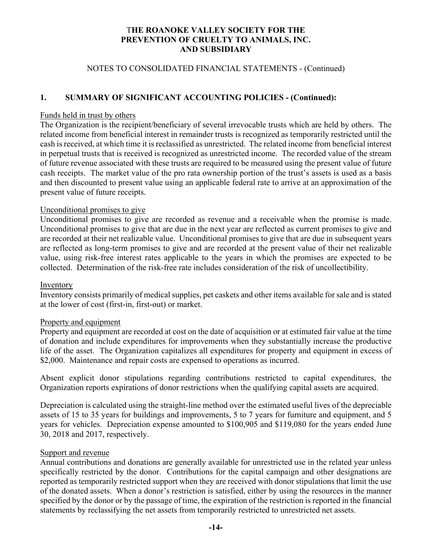# NOTES TO CONSOLIDATED FINANCIAL STATEMENTS - (Continued)

# **1. SUMMARY OF SIGNIFICANT ACCOUNTING POLICIES - (Continued):**

#### Funds held in trust by others

The Organization is the recipient/beneficiary of several irrevocable trusts which are held by others. The related income from beneficial interest in remainder trusts is recognized as temporarily restricted until the cash is received, at which time it is reclassified as unrestricted. The related income from beneficial interest in perpetual trusts that is received is recognized as unrestricted income. The recorded value of the stream of future revenue associated with these trusts are required to be measured using the present value of future cash receipts. The market value of the pro rata ownership portion of the trust's assets is used as a basis and then discounted to present value using an applicable federal rate to arrive at an approximation of the present value of future receipts.

#### Unconditional promises to give

Unconditional promises to give are recorded as revenue and a receivable when the promise is made. Unconditional promises to give that are due in the next year are reflected as current promises to give and are recorded at their net realizable value. Unconditional promises to give that are due in subsequent years are reflected as long-term promises to give and are recorded at the present value of their net realizable value, using risk-free interest rates applicable to the years in which the promises are expected to be collected. Determination of the risk-free rate includes consideration of the risk of uncollectibility.

#### Inventory

Inventory consists primarily of medical supplies, pet caskets and other items available for sale and is stated at the lower of cost (first-in, first-out) or market.

#### Property and equipment

Property and equipment are recorded at cost on the date of acquisition or at estimated fair value at the time of donation and include expenditures for improvements when they substantially increase the productive life of the asset. The Organization capitalizes all expenditures for property and equipment in excess of \$2,000. Maintenance and repair costs are expensed to operations as incurred.

Absent explicit donor stipulations regarding contributions restricted to capital expenditures, the Organization reports expirations of donor restrictions when the qualifying capital assets are acquired.

Depreciation is calculated using the straight-line method over the estimated useful lives of the depreciable assets of 15 to 35 years for buildings and improvements, 5 to 7 years for furniture and equipment, and 5 years for vehicles. Depreciation expense amounted to \$100,905 and \$119,080 for the years ended June 30, 2018 and 2017, respectively.

#### Support and revenue

Annual contributions and donations are generally available for unrestricted use in the related year unless specifically restricted by the donor. Contributions for the capital campaign and other designations are reported as temporarily restricted support when they are received with donor stipulations that limit the use of the donated assets. When a donor's restriction is satisfied, either by using the resources in the manner specified by the donor or by the passage of time, the expiration of the restriction is reported in the financial statements by reclassifying the net assets from temporarily restricted to unrestricted net assets.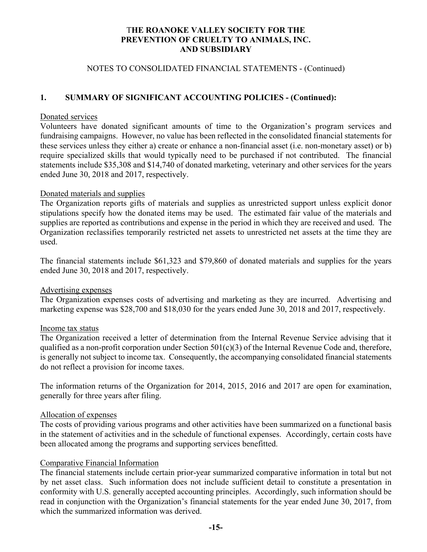## NOTES TO CONSOLIDATED FINANCIAL STATEMENTS - (Continued)

# **1. SUMMARY OF SIGNIFICANT ACCOUNTING POLICIES - (Continued):**

#### Donated services

Volunteers have donated significant amounts of time to the Organization's program services and fundraising campaigns. However, no value has been reflected in the consolidated financial statements for these services unless they either a) create or enhance a non-financial asset (i.e. non-monetary asset) or b) require specialized skills that would typically need to be purchased if not contributed. The financial statements include \$35,308 and \$14,740 of donated marketing, veterinary and other services for the years ended June 30, 2018 and 2017, respectively.

### Donated materials and supplies

The Organization reports gifts of materials and supplies as unrestricted support unless explicit donor stipulations specify how the donated items may be used. The estimated fair value of the materials and supplies are reported as contributions and expense in the period in which they are received and used. The Organization reclassifies temporarily restricted net assets to unrestricted net assets at the time they are used.

The financial statements include \$61,323 and \$79,860 of donated materials and supplies for the years ended June 30, 2018 and 2017, respectively.

### Advertising expenses

The Organization expenses costs of advertising and marketing as they are incurred. Advertising and marketing expense was \$28,700 and \$18,030 for the years ended June 30, 2018 and 2017, respectively.

#### Income tax status

The Organization received a letter of determination from the Internal Revenue Service advising that it qualified as a non-profit corporation under Section  $501(c)(3)$  of the Internal Revenue Code and, therefore, is generally not subject to income tax. Consequently, the accompanying consolidated financial statements do not reflect a provision for income taxes.

The information returns of the Organization for 2014, 2015, 2016 and 2017 are open for examination, generally for three years after filing.

### Allocation of expenses

The costs of providing various programs and other activities have been summarized on a functional basis in the statement of activities and in the schedule of functional expenses. Accordingly, certain costs have been allocated among the programs and supporting services benefitted.

### Comparative Financial Information

The financial statements include certain prior-year summarized comparative information in total but not by net asset class. Such information does not include sufficient detail to constitute a presentation in conformity with U.S. generally accepted accounting principles. Accordingly, such information should be read in conjunction with the Organization's financial statements for the year ended June 30, 2017, from which the summarized information was derived.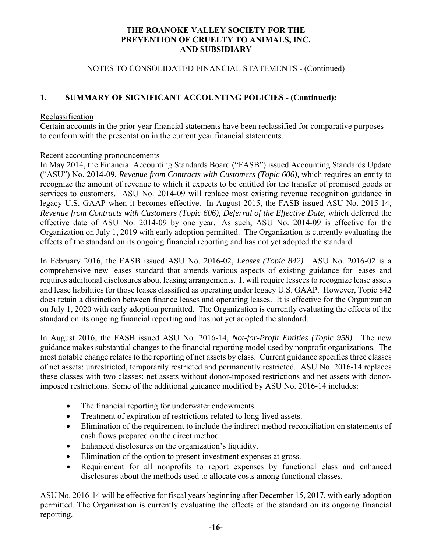# NOTES TO CONSOLIDATED FINANCIAL STATEMENTS - (Continued)

# **1. SUMMARY OF SIGNIFICANT ACCOUNTING POLICIES - (Continued):**

### Reclassification

Certain accounts in the prior year financial statements have been reclassified for comparative purposes to conform with the presentation in the current year financial statements.

#### Recent accounting pronouncements

In May 2014, the Financial Accounting Standards Board ("FASB") issued Accounting Standards Update ("ASU") No. 2014-09, *Revenue from Contracts with Customers (Topic 606),* which requires an entity to recognize the amount of revenue to which it expects to be entitled for the transfer of promised goods or services to customers. ASU No. 2014-09 will replace most existing revenue recognition guidance in legacy U.S. GAAP when it becomes effective. In August 2015, the FASB issued ASU No. 2015-14, *Revenue from Contracts with Customers (Topic 606), Deferral of the Effective Date,* which deferred the effective date of ASU No. 2014-09 by one year. As such, ASU No. 2014-09 is effective for the Organization on July 1, 2019 with early adoption permitted. The Organization is currently evaluating the effects of the standard on its ongoing financial reporting and has not yet adopted the standard.

In February 2016, the FASB issued ASU No. 2016-02, *Leases (Topic 842).* ASU No. 2016-02 is a comprehensive new leases standard that amends various aspects of existing guidance for leases and requires additional disclosures about leasing arrangements. It will require lessees to recognize lease assets and lease liabilities for those leases classified as operating under legacy U.S. GAAP. However, Topic 842 does retain a distinction between finance leases and operating leases. It is effective for the Organization on July 1, 2020 with early adoption permitted. The Organization is currently evaluating the effects of the standard on its ongoing financial reporting and has not yet adopted the standard.

In August 2016, the FASB issued ASU No. 2016-14, *Not-for-Profit Entities (Topic 958)*. The new guidance makes substantial changes to the financial reporting model used by nonprofit organizations. The most notable change relates to the reporting of net assets by class. Current guidance specifies three classes of net assets: unrestricted, temporarily restricted and permanently restricted. ASU No. 2016-14 replaces these classes with two classes: net assets without donor-imposed restrictions and net assets with donorimposed restrictions. Some of the additional guidance modified by ASU No. 2016-14 includes:

- The financial reporting for underwater endowments.
- Treatment of expiration of restrictions related to long-lived assets.
- Elimination of the requirement to include the indirect method reconciliation on statements of cash flows prepared on the direct method.
- Enhanced disclosures on the organization's liquidity.
- Elimination of the option to present investment expenses at gross.
- Requirement for all nonprofits to report expenses by functional class and enhanced disclosures about the methods used to allocate costs among functional classes.

ASU No. 2016-14 will be effective for fiscal years beginning after December 15, 2017, with early adoption permitted. The Organization is currently evaluating the effects of the standard on its ongoing financial reporting.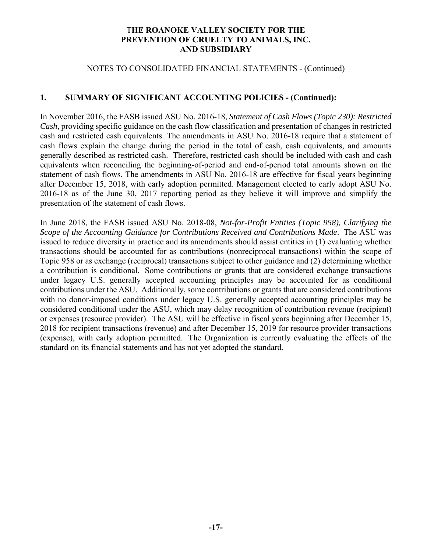# NOTES TO CONSOLIDATED FINANCIAL STATEMENTS - (Continued)

# **1. SUMMARY OF SIGNIFICANT ACCOUNTING POLICIES - (Continued):**

In November 2016, the FASB issued ASU No. 2016-18, *Statement of Cash Flows (Topic 230): Restricted Cash*, providing specific guidance on the cash flow classification and presentation of changes in restricted cash and restricted cash equivalents. The amendments in ASU No. 2016-18 require that a statement of cash flows explain the change during the period in the total of cash, cash equivalents, and amounts generally described as restricted cash. Therefore, restricted cash should be included with cash and cash equivalents when reconciling the beginning-of-period and end-of-period total amounts shown on the statement of cash flows. The amendments in ASU No. 2016-18 are effective for fiscal years beginning after December 15, 2018, with early adoption permitted. Management elected to early adopt ASU No. 2016-18 as of the June 30, 2017 reporting period as they believe it will improve and simplify the presentation of the statement of cash flows.

In June 2018, the FASB issued ASU No. 2018-08, *Not-for-Profit Entities (Topic 958), Clarifying the Scope of the Accounting Guidance for Contributions Received and Contributions Made*. The ASU was issued to reduce diversity in practice and its amendments should assist entities in (1) evaluating whether transactions should be accounted for as contributions (nonreciprocal transactions) within the scope of Topic 958 or as exchange (reciprocal) transactions subject to other guidance and (2) determining whether a contribution is conditional. Some contributions or grants that are considered exchange transactions under legacy U.S. generally accepted accounting principles may be accounted for as conditional contributions under the ASU. Additionally, some contributions or grants that are considered contributions with no donor-imposed conditions under legacy U.S. generally accepted accounting principles may be considered conditional under the ASU, which may delay recognition of contribution revenue (recipient) or expenses (resource provider). The ASU will be effective in fiscal years beginning after December 15, 2018 for recipient transactions (revenue) and after December 15, 2019 for resource provider transactions (expense), with early adoption permitted. The Organization is currently evaluating the effects of the standard on its financial statements and has not yet adopted the standard.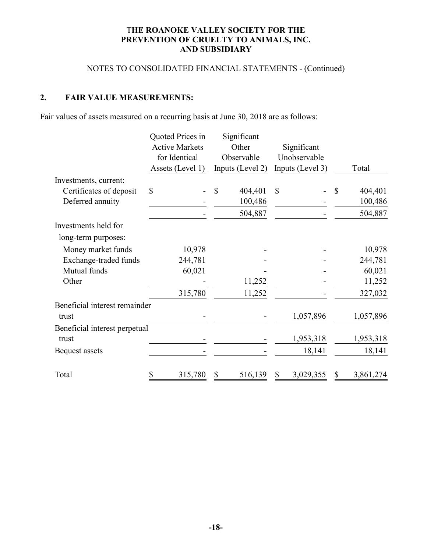# NOTES TO CONSOLIDATED FINANCIAL STATEMENTS - (Continued)

# **2. FAIR VALUE MEASUREMENTS:**

Fair values of assets measured on a recurring basis at June 30, 2018 are as follows:

|                               |              | Quoted Prices in      | Significant          |              |                  |    |           |
|-------------------------------|--------------|-----------------------|----------------------|--------------|------------------|----|-----------|
|                               |              | <b>Active Markets</b> | Other<br>Significant |              |                  |    |           |
|                               |              | for Identical         | Observable           |              | Unobservable     |    |           |
|                               |              | Assets (Level 1)      | Inputs (Level 2)     |              | Inputs (Level 3) |    | Total     |
| Investments, current:         |              |                       |                      |              |                  |    |           |
| Certificates of deposit       | $\mathbb{S}$ |                       | \$<br>404,401        | $\mathbb{S}$ |                  | \$ | 404,401   |
| Deferred annuity              |              |                       | 100,486              |              |                  |    | 100,486   |
|                               |              |                       | 504,887              |              |                  |    | 504,887   |
| Investments held for          |              |                       |                      |              |                  |    |           |
| long-term purposes:           |              |                       |                      |              |                  |    |           |
| Money market funds            |              | 10,978                |                      |              |                  |    | 10,978    |
| Exchange-traded funds         |              | 244,781               |                      |              |                  |    | 244,781   |
| Mutual funds                  |              | 60,021                |                      |              |                  |    | 60,021    |
| Other                         |              |                       | 11,252               |              |                  |    | 11,252    |
|                               |              | 315,780               | 11,252               |              |                  |    | 327,032   |
| Beneficial interest remainder |              |                       |                      |              |                  |    |           |
| trust                         |              |                       |                      |              | 1,057,896        |    | 1,057,896 |
| Beneficial interest perpetual |              |                       |                      |              |                  |    |           |
| trust                         |              |                       |                      |              | 1,953,318        |    | 1,953,318 |
| Bequest assets                |              |                       |                      |              | 18,141           |    | 18,141    |
| Total                         | \$           | 315,780               | \$<br>516,139        | \$           | 3,029,355        | S  | 3,861,274 |
|                               |              |                       |                      |              |                  |    |           |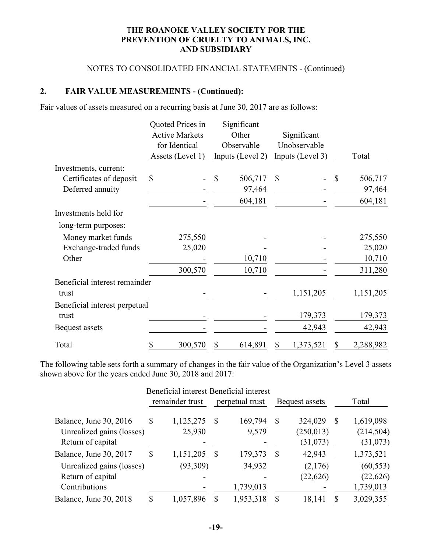### NOTES TO CONSOLIDATED FINANCIAL STATEMENTS - (Continued)

# **2. FAIR VALUE MEASUREMENTS - (Continued):**

Fair values of assets measured on a recurring basis at June 30, 2017 are as follows:

|                               | Quoted Prices in |                       |               | Significant      |              |                  |                 |
|-------------------------------|------------------|-----------------------|---------------|------------------|--------------|------------------|-----------------|
|                               |                  | <b>Active Markets</b> |               | Other            |              | Significant      |                 |
|                               |                  | for Identical         |               | Observable       |              | Unobservable     |                 |
|                               |                  | Assets (Level 1)      |               | Inputs (Level 2) |              | Inputs (Level 3) | Total           |
| Investments, current:         |                  |                       |               |                  |              |                  |                 |
| Certificates of deposit       | \$               |                       | $\mathcal{S}$ | 506,717          | $\mathbb{S}$ |                  | \$<br>506,717   |
| Deferred annuity              |                  |                       |               | 97,464           |              |                  | 97,464          |
|                               |                  |                       |               | 604,181          |              |                  | 604,181         |
| Investments held for          |                  |                       |               |                  |              |                  |                 |
| long-term purposes:           |                  |                       |               |                  |              |                  |                 |
| Money market funds            |                  | 275,550               |               |                  |              |                  | 275,550         |
| Exchange-traded funds         |                  | 25,020                |               |                  |              |                  | 25,020          |
| Other                         |                  |                       |               | 10,710           |              |                  | 10,710          |
|                               |                  | 300,570               |               | 10,710           |              |                  | 311,280         |
| Beneficial interest remainder |                  |                       |               |                  |              |                  |                 |
| trust                         |                  |                       |               |                  |              | 1,151,205        | 1,151,205       |
| Beneficial interest perpetual |                  |                       |               |                  |              |                  |                 |
| trust                         |                  |                       |               |                  |              | 179,373          | 179,373         |
| Bequest assets                |                  |                       |               |                  |              | 42,943           | 42,943          |
| Total                         | \$               | 300,570               | \$            | 614,891          | \$           | 1,373,521        | \$<br>2,288,982 |

The following table sets forth a summary of changes in the fair value of the Organization's Level 3 assets shown above for the years ended June 30, 2018 and 2017:

|                           |                 | Beneficial interest Beneficial interest |                           |           |               |                |       |            |  |
|---------------------------|-----------------|-----------------------------------------|---------------------------|-----------|---------------|----------------|-------|------------|--|
|                           | remainder trust |                                         | perpetual trust           |           |               | Bequest assets | Total |            |  |
| Balance, June 30, 2016    | \$              | 1,125,275                               | $\boldsymbol{\mathsf{S}}$ | 169,794   | $\mathcal{S}$ | 324,029        | -S    | 1,619,098  |  |
| Unrealized gains (losses) |                 | 25,930                                  |                           | 9,579     |               | (250, 013)     |       | (214, 504) |  |
| Return of capital         |                 |                                         |                           |           |               | (31,073)       |       | (31,073)   |  |
| Balance, June 30, 2017    | \$              | 1,151,205                               | \$                        | 179,373   | \$            | 42,943         |       | 1,373,521  |  |
| Unrealized gains (losses) |                 | (93,309)                                |                           | 34,932    |               | (2,176)        |       | (60, 553)  |  |
| Return of capital         |                 |                                         |                           |           |               | (22, 626)      |       | (22, 626)  |  |
| Contributions             |                 |                                         |                           | 1,739,013 |               |                |       | 1,739,013  |  |
| Balance, June 30, 2018    | \$              | 1,057,896                               | \$                        | 1,953,318 |               | 18,141         |       | 3,029,355  |  |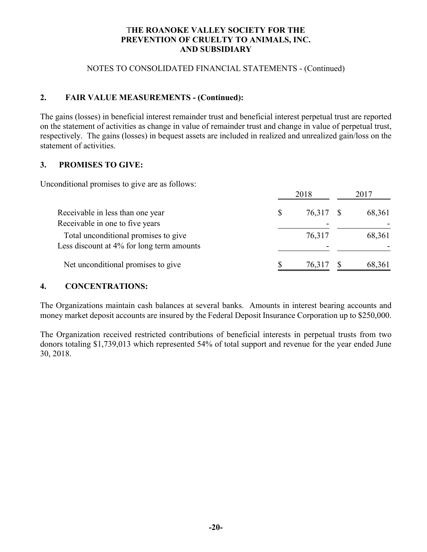# NOTES TO CONSOLIDATED FINANCIAL STATEMENTS - (Continued)

# **2. FAIR VALUE MEASUREMENTS - (Continued):**

The gains (losses) in beneficial interest remainder trust and beneficial interest perpetual trust are reported on the statement of activities as change in value of remainder trust and change in value of perpetual trust, respectively. The gains (losses) in bequest assets are included in realized and unrealized gain/loss on the statement of activities.

### **3. PROMISES TO GIVE:**

Unconditional promises to give are as follows:

|                                           |    | 2017   |  |        |
|-------------------------------------------|----|--------|--|--------|
| Receivable in less than one year          | \$ | 76,317 |  | 68,361 |
| Receivable in one to five years           |    |        |  |        |
| Total unconditional promises to give      |    | 76,317 |  | 68,361 |
| Less discount at 4% for long term amounts |    |        |  |        |
| Net unconditional promises to give        |    | 76,317 |  | 68,361 |

### **4. CONCENTRATIONS:**

The Organizations maintain cash balances at several banks. Amounts in interest bearing accounts and money market deposit accounts are insured by the Federal Deposit Insurance Corporation up to \$250,000.

The Organization received restricted contributions of beneficial interests in perpetual trusts from two donors totaling \$1,739,013 which represented 54% of total support and revenue for the year ended June 30, 2018.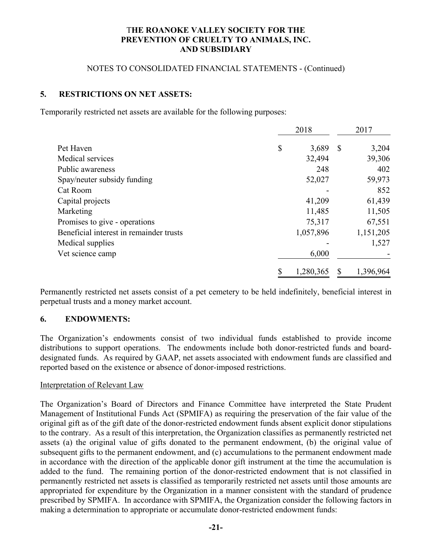## NOTES TO CONSOLIDATED FINANCIAL STATEMENTS - (Continued)

# **5. RESTRICTIONS ON NET ASSETS:**

Temporarily restricted net assets are available for the following purposes:

|                                         | 2018            |   | 2017      |
|-----------------------------------------|-----------------|---|-----------|
| Pet Haven                               | \$<br>3,689     | S | 3,204     |
| Medical services                        | 32,494          |   | 39,306    |
| Public awareness                        | 248             |   | 402       |
| Spay/neuter subsidy funding             | 52,027          |   | 59,973    |
| Cat Room                                |                 |   | 852       |
| Capital projects                        | 41,209          |   | 61,439    |
| Marketing                               | 11,485          |   | 11,505    |
| Promises to give - operations           | 75,317          |   | 67,551    |
| Beneficial interest in remainder trusts | 1,057,896       |   | 1,151,205 |
| Medical supplies                        |                 |   | 1,527     |
| Vet science camp                        | 6,000           |   |           |
|                                         | \$<br>1,280,365 |   | 1,396,964 |

Permanently restricted net assets consist of a pet cemetery to be held indefinitely, beneficial interest in perpetual trusts and a money market account.

### **6. ENDOWMENTS:**

The Organization's endowments consist of two individual funds established to provide income distributions to support operations. The endowments include both donor-restricted funds and boarddesignated funds. As required by GAAP, net assets associated with endowment funds are classified and reported based on the existence or absence of donor-imposed restrictions.

### Interpretation of Relevant Law

The Organization's Board of Directors and Finance Committee have interpreted the State Prudent Management of Institutional Funds Act (SPMIFA) as requiring the preservation of the fair value of the original gift as of the gift date of the donor-restricted endowment funds absent explicit donor stipulations to the contrary. As a result of this interpretation, the Organization classifies as permanently restricted net assets (a) the original value of gifts donated to the permanent endowment, (b) the original value of subsequent gifts to the permanent endowment, and (c) accumulations to the permanent endowment made in accordance with the direction of the applicable donor gift instrument at the time the accumulation is added to the fund. The remaining portion of the donor-restricted endowment that is not classified in permanently restricted net assets is classified as temporarily restricted net assets until those amounts are appropriated for expenditure by the Organization in a manner consistent with the standard of prudence prescribed by SPMIFA. In accordance with SPMIFA, the Organization consider the following factors in making a determination to appropriate or accumulate donor-restricted endowment funds: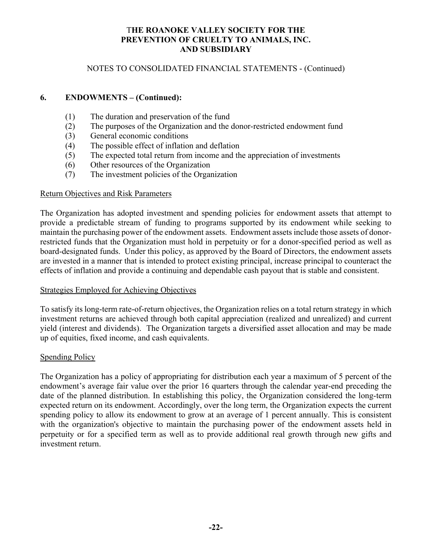# NOTES TO CONSOLIDATED FINANCIAL STATEMENTS - (Continued)

# **6. ENDOWMENTS – (Continued):**

- (1) The duration and preservation of the fund
- (2) The purposes of the Organization and the donor-restricted endowment fund
- (3) General economic conditions
- (4) The possible effect of inflation and deflation
- (5) The expected total return from income and the appreciation of investments
- (6) Other resources of the Organization
- (7) The investment policies of the Organization

### Return Objectives and Risk Parameters

The Organization has adopted investment and spending policies for endowment assets that attempt to provide a predictable stream of funding to programs supported by its endowment while seeking to maintain the purchasing power of the endowment assets. Endowment assets include those assets of donorrestricted funds that the Organization must hold in perpetuity or for a donor-specified period as well as board-designated funds. Under this policy, as approved by the Board of Directors, the endowment assets are invested in a manner that is intended to protect existing principal, increase principal to counteract the effects of inflation and provide a continuing and dependable cash payout that is stable and consistent.

### Strategies Employed for Achieving Objectives

To satisfy its long-term rate-of-return objectives, the Organization relies on a total return strategy in which investment returns are achieved through both capital appreciation (realized and unrealized) and current yield (interest and dividends). The Organization targets a diversified asset allocation and may be made up of equities, fixed income, and cash equivalents.

### Spending Policy

The Organization has a policy of appropriating for distribution each year a maximum of 5 percent of the endowment's average fair value over the prior 16 quarters through the calendar year-end preceding the date of the planned distribution. In establishing this policy, the Organization considered the long-term expected return on its endowment. Accordingly, over the long term, the Organization expects the current spending policy to allow its endowment to grow at an average of 1 percent annually. This is consistent with the organization's objective to maintain the purchasing power of the endowment assets held in perpetuity or for a specified term as well as to provide additional real growth through new gifts and investment return.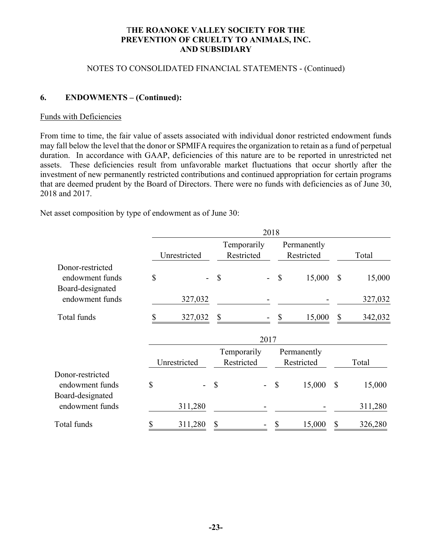# NOTES TO CONSOLIDATED FINANCIAL STATEMENTS - (Continued)

# **6. ENDOWMENTS – (Continued):**

#### Funds with Deficiencies

From time to time, the fair value of assets associated with individual donor restricted endowment funds may fall below the level that the donor or SPMIFA requires the organization to retain as a fund of perpetual duration. In accordance with GAAP, deficiencies of this nature are to be reported in unrestricted net assets. These deficiencies result from unfavorable market fluctuations that occur shortly after the investment of new permanently restricted contributions and continued appropriation for certain programs that are deemed prudent by the Board of Directors. There were no funds with deficiencies as of June 30, 2018 and 2017.

Net asset composition by type of endowment as of June 30:

|                                                         |              |                           |                           | 2018                      |                           |                           |         |  |  |  |  |
|---------------------------------------------------------|--------------|---------------------------|---------------------------|---------------------------|---------------------------|---------------------------|---------|--|--|--|--|
|                                                         | Unrestricted |                           | Temporarily<br>Restricted |                           | Permanently<br>Restricted |                           | Total   |  |  |  |  |
| Donor-restricted<br>endowment funds                     | \$           | \$                        |                           | $\boldsymbol{\mathsf{S}}$ | 15,000                    | $\boldsymbol{\mathsf{S}}$ | 15,000  |  |  |  |  |
| Board-designated<br>endowment funds                     | 327,032      |                           |                           |                           |                           |                           | 327,032 |  |  |  |  |
| Total funds                                             | 327,032      | \$                        |                           | \$                        | 15,000                    | $\mathbb{S}$              | 342,032 |  |  |  |  |
|                                                         | 2017         |                           |                           |                           |                           |                           |         |  |  |  |  |
|                                                         | Unrestricted | Temporarily<br>Restricted |                           |                           | Permanently<br>Restricted | Total                     |         |  |  |  |  |
| Donor-restricted<br>endowment funds<br>Board-designated | \$           | $\mathcal{S}$             |                           | \$                        | 15,000                    | $\mathbb{S}$              | 15,000  |  |  |  |  |
| endowment funds                                         | 311,280      |                           |                           |                           |                           |                           | 311,280 |  |  |  |  |
| Total funds                                             | 311,280      | \$                        |                           |                           | 15,000                    | \$                        | 326,280 |  |  |  |  |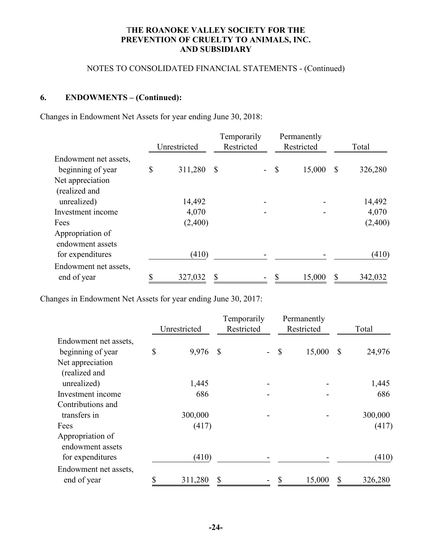# NOTES TO CONSOLIDATED FINANCIAL STATEMENTS - (Continued)

# **6. ENDOWMENTS – (Continued):**

Changes in Endowment Net Assets for year ending June 30, 2018:

|                                      |               |    | Temporarily |               | Permanently |   |         |
|--------------------------------------|---------------|----|-------------|---------------|-------------|---|---------|
|                                      | Unrestricted  |    | Restricted  |               | Restricted  |   | Total   |
| Endowment net assets,                |               |    |             |               |             |   |         |
| beginning of year                    | \$<br>311,280 | \$ |             | $\mathcal{S}$ | 15,000      | S | 326,280 |
| Net appreciation                     |               |    |             |               |             |   |         |
| (realized and                        |               |    |             |               |             |   |         |
| unrealized)                          | 14,492        |    |             |               |             |   | 14,492  |
| Investment income                    | 4,070         |    |             |               |             |   | 4,070   |
| Fees                                 | (2,400)       |    |             |               |             |   | (2,400) |
| Appropriation of<br>endowment assets |               |    |             |               |             |   |         |
| for expenditures                     | (410)         |    |             |               |             |   | (410)   |
| Endowment net assets,                |               |    |             |               |             |   |         |
| end of year                          | 327,032       | \$ |             |               | 15,000      |   | 342,032 |

Changes in Endowment Net Assets for year ending June 30, 2017:

|                       |               | Temporarily |            |               | Permanently |              |         |
|-----------------------|---------------|-------------|------------|---------------|-------------|--------------|---------|
|                       | Unrestricted  |             | Restricted |               | Restricted  |              | Total   |
| Endowment net assets, |               |             |            |               |             |              |         |
| beginning of year     | \$<br>9,976   | - \$        |            | $\mathcal{S}$ | 15,000      | $\mathbb{S}$ | 24,976  |
| Net appreciation      |               |             |            |               |             |              |         |
| (realized and         |               |             |            |               |             |              |         |
| unrealized)           | 1,445         |             |            |               |             |              | 1,445   |
| Investment income     | 686           |             |            |               |             |              | 686     |
| Contributions and     |               |             |            |               |             |              |         |
| transfers in          | 300,000       |             |            |               |             |              | 300,000 |
| Fees                  | (417)         |             |            |               |             |              | (417)   |
| Appropriation of      |               |             |            |               |             |              |         |
| endowment assets      |               |             |            |               |             |              |         |
| for expenditures      | (410)         |             |            |               |             |              | (410)   |
| Endowment net assets, |               |             |            |               |             |              |         |
| end of year           | \$<br>311,280 | \$          |            | \$            | 15,000      |              | 326,280 |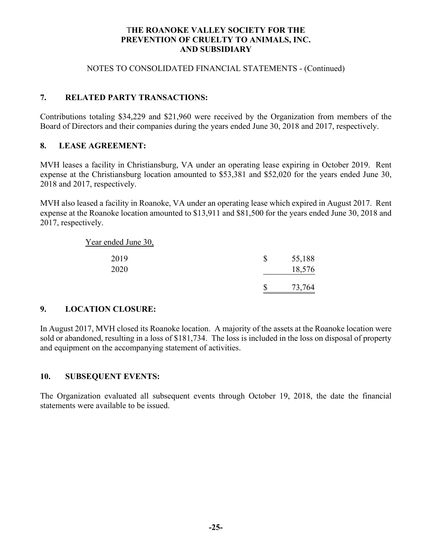### NOTES TO CONSOLIDATED FINANCIAL STATEMENTS - (Continued)

# **7. RELATED PARTY TRANSACTIONS:**

Contributions totaling \$34,229 and \$21,960 were received by the Organization from members of the Board of Directors and their companies during the years ended June 30, 2018 and 2017, respectively.

# **8. LEASE AGREEMENT:**

MVH leases a facility in Christiansburg, VA under an operating lease expiring in October 2019. Rent expense at the Christiansburg location amounted to \$53,381 and \$52,020 for the years ended June 30, 2018 and 2017, respectively.

MVH also leased a facility in Roanoke, VA under an operating lease which expired in August 2017. Rent expense at the Roanoke location amounted to \$13,911 and \$81,500 for the years ended June 30, 2018 and 2017, respectively.

| Year ended June 30, |    |        |
|---------------------|----|--------|
| 2019                | \$ | 55,188 |
| 2020                |    | 18,576 |
|                     | S  | 73,764 |

# **9. LOCATION CLOSURE:**

In August 2017, MVH closed its Roanoke location. A majority of the assets at the Roanoke location were sold or abandoned, resulting in a loss of \$181,734. The loss is included in the loss on disposal of property and equipment on the accompanying statement of activities.

### **10. SUBSEQUENT EVENTS:**

The Organization evaluated all subsequent events through October 19, 2018, the date the financial statements were available to be issued.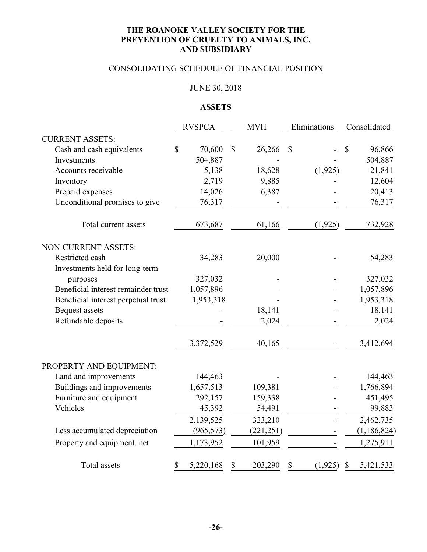# CONSOLIDATING SCHEDULE OF FINANCIAL POSITION

# JUNE 30, 2018

#### **ASSETS**

|                                     | <b>RVSPCA</b>   | <b>MVH</b>    | Eliminations   |                           | Consolidated  |
|-------------------------------------|-----------------|---------------|----------------|---------------------------|---------------|
| <b>CURRENT ASSETS:</b>              |                 |               |                |                           |               |
| Cash and cash equivalents           | \$<br>70,600    | \$<br>26,266  | \$             | $\mathcal{S}$             | 96,866        |
| Investments                         | 504,887         |               |                |                           | 504,887       |
| Accounts receivable                 | 5,138           | 18,628        | (1,925)        |                           | 21,841        |
| Inventory                           | 2,719           | 9,885         |                |                           | 12,604        |
| Prepaid expenses                    | 14,026          | 6,387         |                |                           | 20,413        |
| Unconditional promises to give      | 76,317          |               |                |                           | 76,317        |
| Total current assets                | 673,687         | 61,166        | (1,925)        |                           | 732,928       |
| <b>NON-CURRENT ASSETS:</b>          |                 |               |                |                           |               |
| Restricted cash                     | 34,283          | 20,000        |                |                           | 54,283        |
| Investments held for long-term      |                 |               |                |                           |               |
| purposes                            | 327,032         |               |                |                           | 327,032       |
| Beneficial interest remainder trust | 1,057,896       |               |                |                           | 1,057,896     |
| Beneficial interest perpetual trust | 1,953,318       |               |                |                           | 1,953,318     |
| <b>Bequest assets</b>               |                 | 18,141        |                |                           | 18,141        |
| Refundable deposits                 |                 | 2,024         |                |                           | 2,024         |
|                                     | 3,372,529       | 40,165        |                |                           | 3,412,694     |
| PROPERTY AND EQUIPMENT:             |                 |               |                |                           |               |
| Land and improvements               | 144,463         |               |                |                           | 144,463       |
| Buildings and improvements          | 1,657,513       | 109,381       |                |                           | 1,766,894     |
| Furniture and equipment             | 292,157         | 159,338       |                |                           | 451,495       |
| Vehicles                            | 45,392          | 54,491        |                |                           | 99,883        |
|                                     | 2,139,525       | 323,210       |                |                           | 2,462,735     |
| Less accumulated depreciation       | (965, 573)      | (221, 251)    |                |                           | (1, 186, 824) |
| Property and equipment, net         | 1,173,952       | 101,959       |                |                           | 1,275,911     |
| Total assets                        | \$<br>5,220,168 | \$<br>203,290 | \$<br>(1, 925) | $\boldsymbol{\mathsf{S}}$ | 5,421,533     |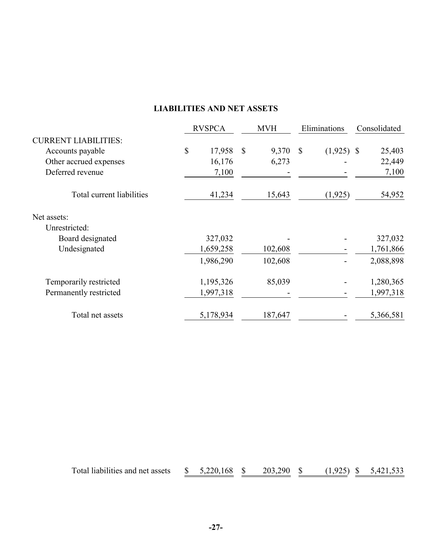# **LIABILITIES AND NET ASSETS**

|                             | <b>RVSPCA</b> |           | <b>MVH</b> |         | Eliminations  |              | Consolidated |           |
|-----------------------------|---------------|-----------|------------|---------|---------------|--------------|--------------|-----------|
| <b>CURRENT LIABILITIES:</b> |               |           |            |         |               |              |              |           |
| Accounts payable            | \$            | 17,958    | S          | 9,370   | $\mathcal{S}$ | $(1,925)$ \$ |              | 25,403    |
| Other accrued expenses      |               | 16,176    |            | 6,273   |               |              |              | 22,449    |
| Deferred revenue            |               | 7,100     |            |         |               |              |              | 7,100     |
| Total current liabilities   |               | 41,234    |            | 15,643  |               | (1, 925)     |              | 54,952    |
| Net assets:                 |               |           |            |         |               |              |              |           |
| Unrestricted:               |               |           |            |         |               |              |              |           |
| Board designated            |               | 327,032   |            |         |               |              |              | 327,032   |
| Undesignated                |               | 1,659,258 |            | 102,608 |               |              |              | 1,761,866 |
|                             |               | 1,986,290 |            | 102,608 |               |              |              | 2,088,898 |
| Temporarily restricted      |               | 1,195,326 |            | 85,039  |               |              |              | 1,280,365 |
| Permanently restricted      |               | 1,997,318 |            |         |               |              |              | 1,997,318 |
| Total net assets            |               | 5,178,934 |            | 187,647 |               |              |              | 5,366,581 |

| Total liabilities and net assets |  | 5,220,168 |  | 203,290 |  | (1,925) |  | 5,421,533 |
|----------------------------------|--|-----------|--|---------|--|---------|--|-----------|
|----------------------------------|--|-----------|--|---------|--|---------|--|-----------|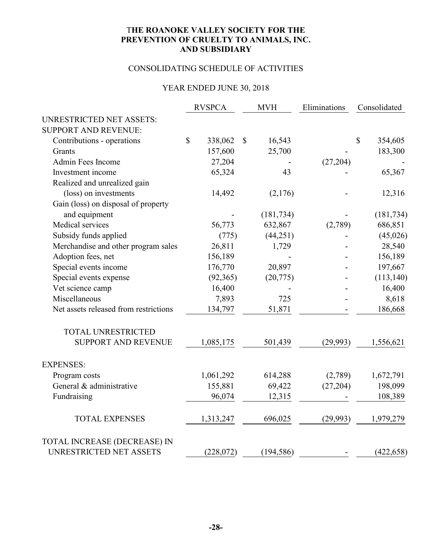### CONSOLIDATING SCHEDULE OF ACTIVITIES

|                                       |              | <b>RVSPCA</b> |               | <b>MVH</b> | Eliminations | Consolidated  |
|---------------------------------------|--------------|---------------|---------------|------------|--------------|---------------|
| <b>UNRESTRICTED NET ASSETS:</b>       |              |               |               |            |              |               |
| <b>SUPPORT AND REVENUE:</b>           |              |               |               |            |              |               |
| Contributions - operations            | $\mathbb{S}$ | 338,062       | $\mathcal{S}$ | 16,543     |              | \$<br>354,605 |
| Grants                                |              | 157,600       |               | 25,700     |              | 183,300       |
| Admin Fees Income                     |              | 27,204        |               |            | (27,204)     |               |
| Investment income                     |              | 65,324        |               | 43         |              | 65,367        |
| Realized and unrealized gain          |              |               |               |            |              |               |
| (loss) on investments                 |              | 14,492        |               | (2,176)    |              | 12,316        |
| Gain (loss) on disposal of property   |              |               |               |            |              |               |
| and equipment                         |              |               |               | (181, 734) |              | (181, 734)    |
| Medical services                      |              | 56,773        |               | 632,867    | (2,789)      | 686,851       |
| Subsidy funds applied                 |              | (775)         |               | (44,251)   |              | (45,026)      |
| Merchandise and other program sales   |              | 26,811        |               | 1,729      |              | 28,540        |
| Adoption fees, net                    |              | 156,189       |               |            |              | 156,189       |
| Special events income                 |              | 176,770       |               | 20,897     |              | 197,667       |
| Special events expense                |              | (92, 365)     |               | (20, 775)  |              | (113, 140)    |
| Vet science camp                      |              | 16,400        |               |            |              | 16,400        |
| Miscellaneous                         |              | 7,893         |               | 725        |              | 8,618         |
| Net assets released from restrictions |              | 134,797       |               | 51,871     |              | 186,668       |
| <b>TOTAL UNRESTRICTED</b>             |              |               |               |            |              |               |
| SUPPORT AND REVENUE                   |              | 1,085,175     |               | 501,439    | (29,993)     | 1,556,621     |
| <b>EXPENSES:</b>                      |              |               |               |            |              |               |
| Program costs                         |              | 1,061,292     |               | 614,288    | (2,789)      | 1,672,791     |
| General & administrative              |              | 155,881       |               | 69,422     | (27, 204)    | 198,099       |
| Fundraising                           |              | 96,074        |               | 12,315     |              | 108,389       |
| <b>TOTAL EXPENSES</b>                 |              | 1,313,247     |               | 696,025    | (29, 993)    | 1,979,279     |
| TOTAL INCREASE (DECREASE) IN          |              |               |               |            |              |               |
| <b>UNRESTRICTED NET ASSETS</b>        |              | (228, 072)    |               | (194, 586) |              | (422, 658)    |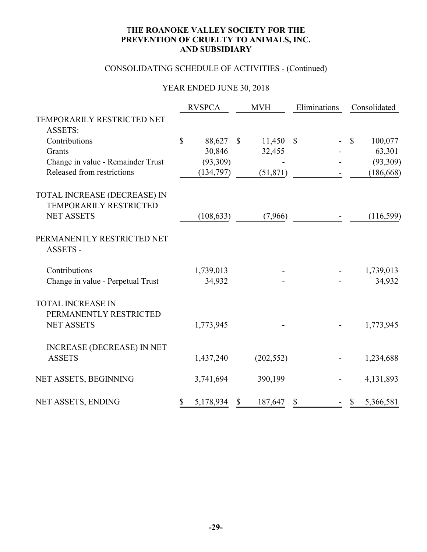# CONSOLIDATING SCHEDULE OF ACTIVITIES - (Continued)

|                                                               |    | <b>RVSPCA</b> |              | <b>MVH</b> | Eliminations  |               | Consolidated |  |
|---------------------------------------------------------------|----|---------------|--------------|------------|---------------|---------------|--------------|--|
| TEMPORARILY RESTRICTED NET<br>ASSETS:                         |    |               |              |            |               |               |              |  |
| Contributions                                                 | \$ | 88,627        | $\mathbb{S}$ | 11,450     | $\mathcal{S}$ | $\mathcal{S}$ | 100,077      |  |
| Grants                                                        |    | 30,846        |              | 32,455     |               |               | 63,301       |  |
| Change in value - Remainder Trust                             |    | (93,309)      |              |            |               |               | (93, 309)    |  |
| Released from restrictions                                    |    | (134, 797)    |              | (51, 871)  |               |               | (186, 668)   |  |
| TOTAL INCREASE (DECREASE) IN<br><b>TEMPORARILY RESTRICTED</b> |    |               |              |            |               |               |              |  |
| <b>NET ASSETS</b>                                             |    | (108, 633)    |              | (7,966)    |               |               | (116,599)    |  |
| PERMANENTLY RESTRICTED NET<br>ASSETS -                        |    |               |              |            |               |               |              |  |
| Contributions                                                 |    | 1,739,013     |              |            |               |               | 1,739,013    |  |
| Change in value - Perpetual Trust                             |    | 34,932        |              |            |               |               | 34,932       |  |
| <b>TOTAL INCREASE IN</b>                                      |    |               |              |            |               |               |              |  |
| PERMANENTLY RESTRICTED<br><b>NET ASSETS</b>                   |    | 1,773,945     |              |            |               |               | 1,773,945    |  |
| <b>INCREASE (DECREASE) IN NET</b>                             |    |               |              |            |               |               |              |  |
| <b>ASSETS</b>                                                 |    | 1,437,240     |              | (202, 552) |               |               | 1,234,688    |  |
| NET ASSETS, BEGINNING                                         |    | 3,741,694     |              | 390,199    |               |               | 4,131,893    |  |
| NET ASSETS, ENDING                                            | \$ | 5,178,934     | $\mathbb{S}$ | 187,647    | \$            | $\mathbb{S}$  | 5,366,581    |  |